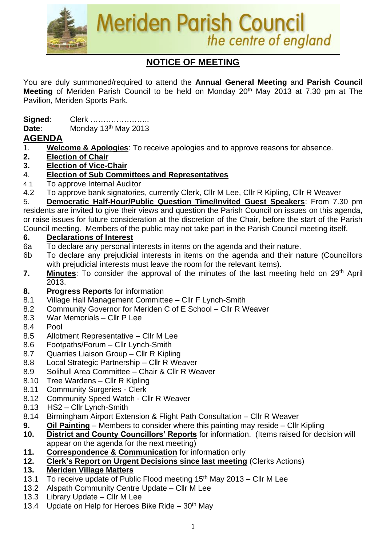

# **NOTICE OF MEETING**

You are duly summoned/required to attend the **Annual General Meeting** and **Parish Council Meeting** of Meriden Parish Council to be held on Monday 20th May 2013 at 7.30 pm at The Pavilion, Meriden Sports Park.

**Signed**: Clerk ………………….. **Date:** Monday 13<sup>th</sup> May 2013

### **AGENDA**

- 1. **Welcome & Apologies**: To receive apologies and to approve reasons for absence.
- **2. Election of Chair**
- **3. Election of Vice-Chair**
- 4. **Election of Sub Committees and Representatives**
- 4.1 To approve Internal Auditor
- 4.2 To approve bank signatories, currently Clerk, Cllr M Lee, Cllr R Kipling, Cllr R Weaver

5. **Democratic Half-Hour/Public Question Time/Invited Guest Speakers**: From 7.30 pm residents are invited to give their views and question the Parish Council on issues on this agenda, or raise issues for future consideration at the discretion of the Chair, before the start of the Parish Council meeting. Members of the public may not take part in the Parish Council meeting itself.

#### **6. Declarations of Interest**

- 6a To declare any personal interests in items on the agenda and their nature.
- 6b To declare any prejudicial interests in items on the agenda and their nature (Councillors with prejudicial interests must leave the room for the relevant items).
- 7. Minutes: To consider the approval of the minutes of the last meeting held on 29<sup>th</sup> April 2013.

#### **8. Progress Reports** for information

- 8.1 Village Hall Management Committee Cllr F Lynch-Smith
- 8.2 Community Governor for Meriden C of E School Cllr R Weaver
- 8.3 War Memorials Cllr P Lee
- 8.4 Pool
- 8.5 Allotment Representative Cllr M Lee
- 8.6 Footpaths/Forum Cllr Lynch-Smith
- 8.7 Quarries Liaison Group Cllr R Kipling
- 8.8 Local Strategic Partnership Cllr R Weaver
- 8.9 Solihull Area Committee Chair & Cllr R Weaver
- 8.10 Tree Wardens Cllr R Kipling
- 8.11 Community Surgeries Clerk
- 8.12 Community Speed Watch Cllr R Weaver
- 8.13 HS2 Cllr Lynch-Smith
- 8.14 Birmingham Airport Extension & Flight Path Consultation Cllr R Weaver
- **9. Oil Painting** Members to consider where this painting may reside Cllr Kipling
- **10. District and County Councillors' Reports** for information. (Items raised for decision will appear on the agenda for the next meeting)
- **11. Correspondence & Communication** for information only
- **12. Clerk's Report on Urgent Decisions since last meeting** (Clerks Actions)
- **13. Meriden Village Matters**
- 13.1 To receive update of Public Flood meeting  $15<sup>th</sup>$  May 2013 Cllr M Lee
- 13.2 Alspath Community Centre Update Cllr M Lee
- 13.3 Library Update Cllr M Lee
- 13.4 Update on Help for Heroes Bike Ride  $30<sup>th</sup>$  May